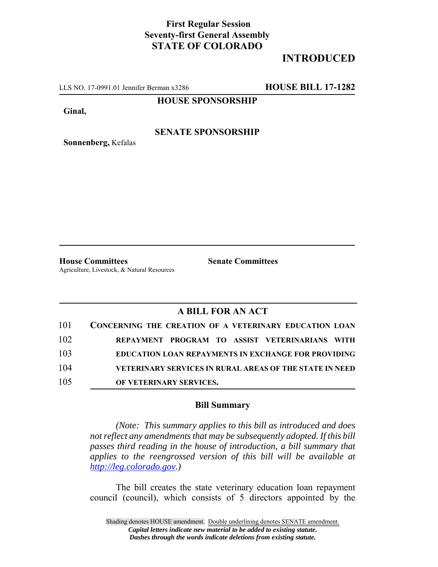# **First Regular Session Seventy-first General Assembly STATE OF COLORADO**

# **INTRODUCED**

LLS NO. 17-0991.01 Jennifer Berman x3286 **HOUSE BILL 17-1282**

**HOUSE SPONSORSHIP**

**Ginal,**

**Sonnenberg,** Kefalas

### **SENATE SPONSORSHIP**

**House Committees Senate Committees** Agriculture, Livestock, & Natural Resources

### **A BILL FOR AN ACT**

| 101 | CONCERNING THE CREATION OF A VETERINARY EDUCATION LOAN         |
|-----|----------------------------------------------------------------|
| 102 | REPAYMENT PROGRAM TO ASSIST VETERINARIANS WITH                 |
| 103 | <b>EDUCATION LOAN REPAYMENTS IN EXCHANGE FOR PROVIDING</b>     |
| 104 | <b>VETERINARY SERVICES IN RURAL AREAS OF THE STATE IN NEED</b> |
| 105 | OF VETERINARY SERVICES.                                        |

#### **Bill Summary**

*(Note: This summary applies to this bill as introduced and does not reflect any amendments that may be subsequently adopted. If this bill passes third reading in the house of introduction, a bill summary that applies to the reengrossed version of this bill will be available at http://leg.colorado.gov.)*

The bill creates the state veterinary education loan repayment council (council), which consists of 5 directors appointed by the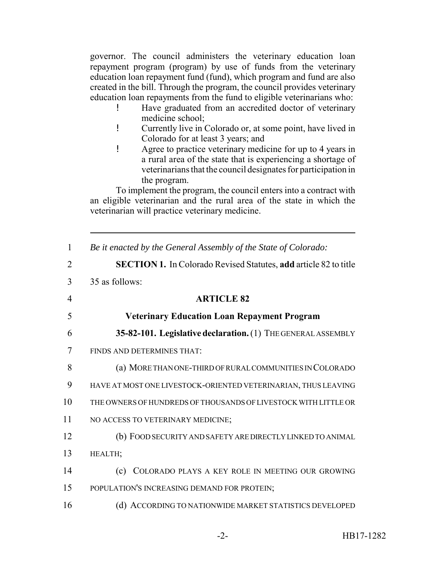governor. The council administers the veterinary education loan repayment program (program) by use of funds from the veterinary education loan repayment fund (fund), which program and fund are also created in the bill. Through the program, the council provides veterinary education loan repayments from the fund to eligible veterinarians who:

- ! Have graduated from an accredited doctor of veterinary medicine school;
- ! Currently live in Colorado or, at some point, have lived in Colorado for at least 3 years; and
- ! Agree to practice veterinary medicine for up to 4 years in a rural area of the state that is experiencing a shortage of veterinarians that the council designates for participation in the program.

To implement the program, the council enters into a contract with an eligible veterinarian and the rural area of the state in which the veterinarian will practice veterinary medicine.

| $\mathbf{1}$   | Be it enacted by the General Assembly of the State of Colorado:         |
|----------------|-------------------------------------------------------------------------|
| $\overline{2}$ | <b>SECTION 1.</b> In Colorado Revised Statutes, add article 82 to title |
| 3              | 35 as follows:                                                          |
| $\overline{4}$ | <b>ARTICLE 82</b>                                                       |
| 5              | <b>Veterinary Education Loan Repayment Program</b>                      |
| 6              | 35-82-101. Legislative declaration. (1) THE GENERAL ASSEMBLY            |
| 7              | FINDS AND DETERMINES THAT:                                              |
| 8              | (a) MORE THAN ONE-THIRD OF RURAL COMMUNITIES IN COLORADO                |
| 9              | HAVE AT MOST ONE LIVESTOCK-ORIENTED VETERINARIAN, THUS LEAVING          |
| 10             | THE OWNERS OF HUNDREDS OF THOUSANDS OF LIVESTOCK WITH LITTLE OR         |
| 11             | NO ACCESS TO VETERINARY MEDICINE;                                       |
| 12             | (b) FOOD SECURITY AND SAFETY ARE DIRECTLY LINKED TO ANIMAL              |
| 13             | HEALTH;                                                                 |
| 14             | COLORADO PLAYS A KEY ROLE IN MEETING OUR GROWING<br>(c)                 |
| 15             | POPULATION'S INCREASING DEMAND FOR PROTEIN;                             |
| 16             | (d) ACCORDING TO NATIONWIDE MARKET STATISTICS DEVELOPED                 |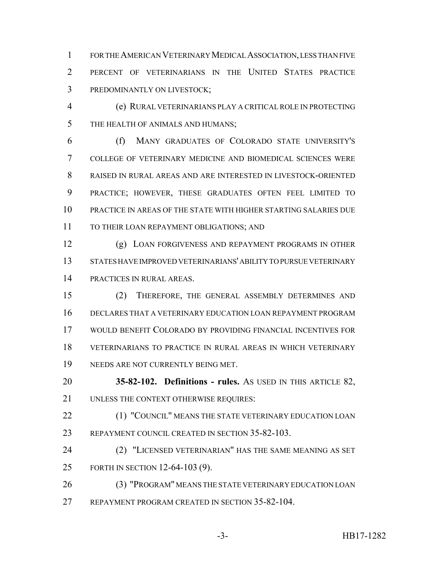FOR THE AMERICAN VETERINARY MEDICAL ASSOCIATION, LESS THAN FIVE PERCENT OF VETERINARIANS IN THE UNITED STATES PRACTICE PREDOMINANTLY ON LIVESTOCK;

 (e) RURAL VETERINARIANS PLAY A CRITICAL ROLE IN PROTECTING THE HEALTH OF ANIMALS AND HUMANS;

 (f) MANY GRADUATES OF COLORADO STATE UNIVERSITY'S COLLEGE OF VETERINARY MEDICINE AND BIOMEDICAL SCIENCES WERE RAISED IN RURAL AREAS AND ARE INTERESTED IN LIVESTOCK-ORIENTED PRACTICE; HOWEVER, THESE GRADUATES OFTEN FEEL LIMITED TO PRACTICE IN AREAS OF THE STATE WITH HIGHER STARTING SALARIES DUE 11 TO THEIR LOAN REPAYMENT OBLIGATIONS; AND

 (g) LOAN FORGIVENESS AND REPAYMENT PROGRAMS IN OTHER STATES HAVE IMPROVED VETERINARIANS' ABILITY TO PURSUE VETERINARY PRACTICES IN RURAL AREAS.

 (2) THEREFORE, THE GENERAL ASSEMBLY DETERMINES AND DECLARES THAT A VETERINARY EDUCATION LOAN REPAYMENT PROGRAM WOULD BENEFIT COLORADO BY PROVIDING FINANCIAL INCENTIVES FOR VETERINARIANS TO PRACTICE IN RURAL AREAS IN WHICH VETERINARY NEEDS ARE NOT CURRENTLY BEING MET.

 **35-82-102. Definitions - rules.** AS USED IN THIS ARTICLE 82, 21 UNLESS THE CONTEXT OTHERWISE REQUIRES:

22 (1) "COUNCIL" MEANS THE STATE VETERINARY EDUCATION LOAN REPAYMENT COUNCIL CREATED IN SECTION 35-82-103.

 (2) "LICENSED VETERINARIAN" HAS THE SAME MEANING AS SET FORTH IN SECTION 12-64-103 (9).

 (3) "PROGRAM" MEANS THE STATE VETERINARY EDUCATION LOAN REPAYMENT PROGRAM CREATED IN SECTION 35-82-104.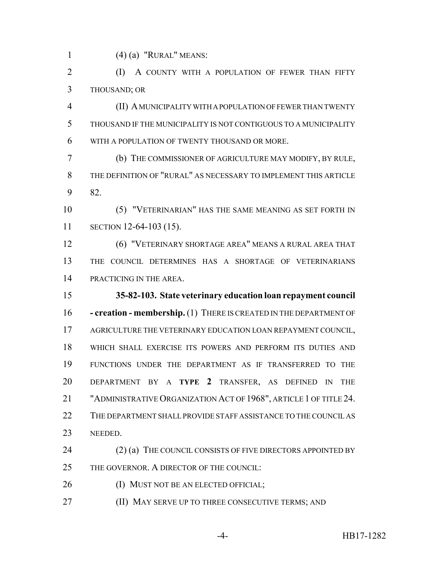(4) (a) "RURAL" MEANS:

**(I)** A COUNTY WITH A POPULATION OF FEWER THAN FIFTY THOUSAND; OR

 (II) A MUNICIPALITY WITH A POPULATION OF FEWER THAN TWENTY THOUSAND IF THE MUNICIPALITY IS NOT CONTIGUOUS TO A MUNICIPALITY WITH A POPULATION OF TWENTY THOUSAND OR MORE.

 (b) THE COMMISSIONER OF AGRICULTURE MAY MODIFY, BY RULE, THE DEFINITION OF "RURAL" AS NECESSARY TO IMPLEMENT THIS ARTICLE 82.

 (5) "VETERINARIAN" HAS THE SAME MEANING AS SET FORTH IN SECTION 12-64-103 (15).

 (6) "VETERINARY SHORTAGE AREA" MEANS A RURAL AREA THAT THE COUNCIL DETERMINES HAS A SHORTAGE OF VETERINARIANS PRACTICING IN THE AREA.

 **35-82-103. State veterinary education loan repayment council - creation - membership.** (1) THERE IS CREATED IN THE DEPARTMENT OF AGRICULTURE THE VETERINARY EDUCATION LOAN REPAYMENT COUNCIL, WHICH SHALL EXERCISE ITS POWERS AND PERFORM ITS DUTIES AND FUNCTIONS UNDER THE DEPARTMENT AS IF TRANSFERRED TO THE DEPARTMENT BY A **TYPE 2** TRANSFER, AS DEFINED IN THE "ADMINISTRATIVE ORGANIZATION ACT OF 1968", ARTICLE 1 OF TITLE 24. THE DEPARTMENT SHALL PROVIDE STAFF ASSISTANCE TO THE COUNCIL AS NEEDED.

24 (2) (a) THE COUNCIL CONSISTS OF FIVE DIRECTORS APPOINTED BY 25 THE GOVERNOR. A DIRECTOR OF THE COUNCIL:

26 (I) MUST NOT BE AN ELECTED OFFICIAL;

**(II) MAY SERVE UP TO THREE CONSECUTIVE TERMS; AND**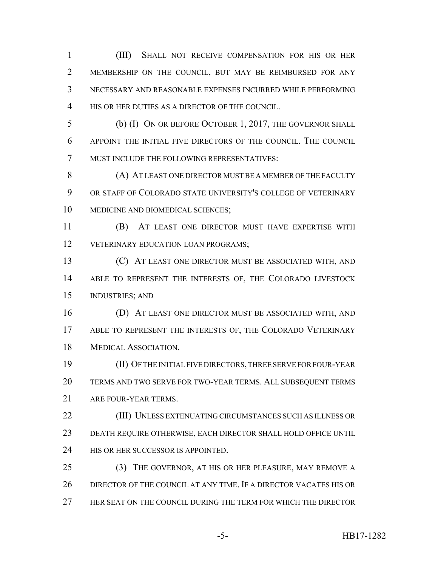(III) SHALL NOT RECEIVE COMPENSATION FOR HIS OR HER MEMBERSHIP ON THE COUNCIL, BUT MAY BE REIMBURSED FOR ANY NECESSARY AND REASONABLE EXPENSES INCURRED WHILE PERFORMING HIS OR HER DUTIES AS A DIRECTOR OF THE COUNCIL.

 (b) (I) ON OR BEFORE OCTOBER 1, 2017, THE GOVERNOR SHALL APPOINT THE INITIAL FIVE DIRECTORS OF THE COUNCIL. THE COUNCIL MUST INCLUDE THE FOLLOWING REPRESENTATIVES:

 (A) AT LEAST ONE DIRECTOR MUST BE A MEMBER OF THE FACULTY OR STAFF OF COLORADO STATE UNIVERSITY'S COLLEGE OF VETERINARY MEDICINE AND BIOMEDICAL SCIENCES;

 (B) AT LEAST ONE DIRECTOR MUST HAVE EXPERTISE WITH 12 VETERINARY EDUCATION LOAN PROGRAMS;

 (C) AT LEAST ONE DIRECTOR MUST BE ASSOCIATED WITH, AND 14 ABLE TO REPRESENT THE INTERESTS OF, THE COLORADO LIVESTOCK INDUSTRIES; AND

 (D) AT LEAST ONE DIRECTOR MUST BE ASSOCIATED WITH, AND 17 ABLE TO REPRESENT THE INTERESTS OF, THE COLORADO VETERINARY MEDICAL ASSOCIATION.

 (II) OF THE INITIAL FIVE DIRECTORS, THREE SERVE FOR FOUR-YEAR TERMS AND TWO SERVE FOR TWO-YEAR TERMS. ALL SUBSEQUENT TERMS ARE FOUR-YEAR TERMS.

 (III) UNLESS EXTENUATING CIRCUMSTANCES SUCH AS ILLNESS OR DEATH REQUIRE OTHERWISE, EACH DIRECTOR SHALL HOLD OFFICE UNTIL **HIS OR HER SUCCESSOR IS APPOINTED.** 

 (3) THE GOVERNOR, AT HIS OR HER PLEASURE, MAY REMOVE A DIRECTOR OF THE COUNCIL AT ANY TIME. IF A DIRECTOR VACATES HIS OR HER SEAT ON THE COUNCIL DURING THE TERM FOR WHICH THE DIRECTOR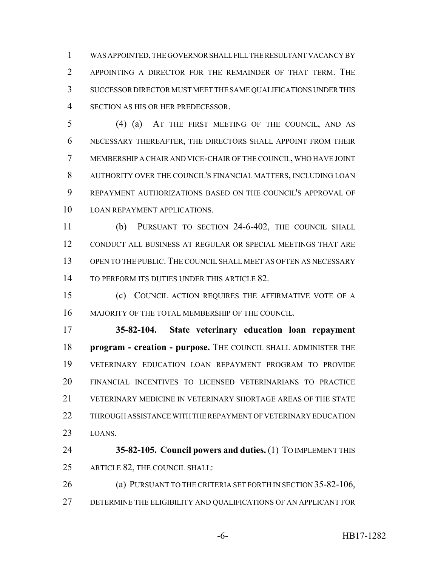WAS APPOINTED, THE GOVERNOR SHALL FILL THE RESULTANT VACANCY BY APPOINTING A DIRECTOR FOR THE REMAINDER OF THAT TERM. THE SUCCESSOR DIRECTOR MUST MEET THE SAME QUALIFICATIONS UNDER THIS SECTION AS HIS OR HER PREDECESSOR.

 (4) (a) AT THE FIRST MEETING OF THE COUNCIL, AND AS NECESSARY THEREAFTER, THE DIRECTORS SHALL APPOINT FROM THEIR MEMBERSHIP A CHAIR AND VICE-CHAIR OF THE COUNCIL, WHO HAVE JOINT AUTHORITY OVER THE COUNCIL'S FINANCIAL MATTERS, INCLUDING LOAN REPAYMENT AUTHORIZATIONS BASED ON THE COUNCIL'S APPROVAL OF LOAN REPAYMENT APPLICATIONS.

 (b) PURSUANT TO SECTION 24-6-402, THE COUNCIL SHALL CONDUCT ALL BUSINESS AT REGULAR OR SPECIAL MEETINGS THAT ARE OPEN TO THE PUBLIC. THE COUNCIL SHALL MEET AS OFTEN AS NECESSARY TO PERFORM ITS DUTIES UNDER THIS ARTICLE 82.

 (c) COUNCIL ACTION REQUIRES THE AFFIRMATIVE VOTE OF A MAJORITY OF THE TOTAL MEMBERSHIP OF THE COUNCIL.

 **35-82-104. State veterinary education loan repayment program - creation - purpose.** THE COUNCIL SHALL ADMINISTER THE VETERINARY EDUCATION LOAN REPAYMENT PROGRAM TO PROVIDE FINANCIAL INCENTIVES TO LICENSED VETERINARIANS TO PRACTICE VETERINARY MEDICINE IN VETERINARY SHORTAGE AREAS OF THE STATE THROUGH ASSISTANCE WITH THE REPAYMENT OF VETERINARY EDUCATION LOANS.

 **35-82-105. Council powers and duties.** (1) TO IMPLEMENT THIS ARTICLE 82, THE COUNCIL SHALL:

 (a) PURSUANT TO THE CRITERIA SET FORTH IN SECTION 35-82-106, DETERMINE THE ELIGIBILITY AND QUALIFICATIONS OF AN APPLICANT FOR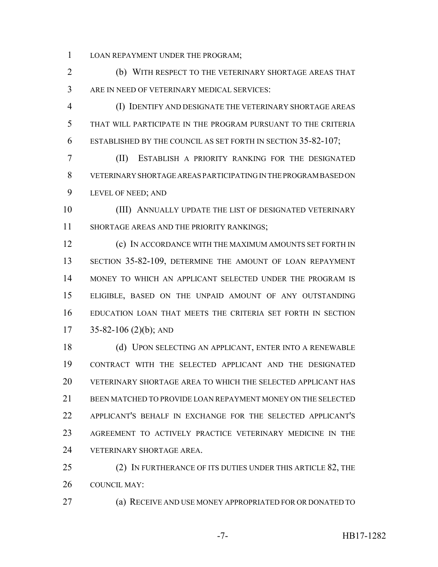LOAN REPAYMENT UNDER THE PROGRAM;

 (b) WITH RESPECT TO THE VETERINARY SHORTAGE AREAS THAT ARE IN NEED OF VETERINARY MEDICAL SERVICES:

 (I) IDENTIFY AND DESIGNATE THE VETERINARY SHORTAGE AREAS THAT WILL PARTICIPATE IN THE PROGRAM PURSUANT TO THE CRITERIA ESTABLISHED BY THE COUNCIL AS SET FORTH IN SECTION 35-82-107;

 (II) ESTABLISH A PRIORITY RANKING FOR THE DESIGNATED VETERINARY SHORTAGE AREAS PARTICIPATING IN THE PROGRAM BASED ON LEVEL OF NEED; AND

 (III) ANNUALLY UPDATE THE LIST OF DESIGNATED VETERINARY SHORTAGE AREAS AND THE PRIORITY RANKINGS;

**(c) IN ACCORDANCE WITH THE MAXIMUM AMOUNTS SET FORTH IN** 13 SECTION 35-82-109, DETERMINE THE AMOUNT OF LOAN REPAYMENT MONEY TO WHICH AN APPLICANT SELECTED UNDER THE PROGRAM IS ELIGIBLE, BASED ON THE UNPAID AMOUNT OF ANY OUTSTANDING EDUCATION LOAN THAT MEETS THE CRITERIA SET FORTH IN SECTION  $35-82-106$  (2)(b); AND

 (d) UPON SELECTING AN APPLICANT, ENTER INTO A RENEWABLE CONTRACT WITH THE SELECTED APPLICANT AND THE DESIGNATED VETERINARY SHORTAGE AREA TO WHICH THE SELECTED APPLICANT HAS BEEN MATCHED TO PROVIDE LOAN REPAYMENT MONEY ON THE SELECTED APPLICANT'S BEHALF IN EXCHANGE FOR THE SELECTED APPLICANT'S AGREEMENT TO ACTIVELY PRACTICE VETERINARY MEDICINE IN THE VETERINARY SHORTAGE AREA.

25 (2) IN FURTHERANCE OF ITS DUTIES UNDER THIS ARTICLE 82, THE COUNCIL MAY:

(a) RECEIVE AND USE MONEY APPROPRIATED FOR OR DONATED TO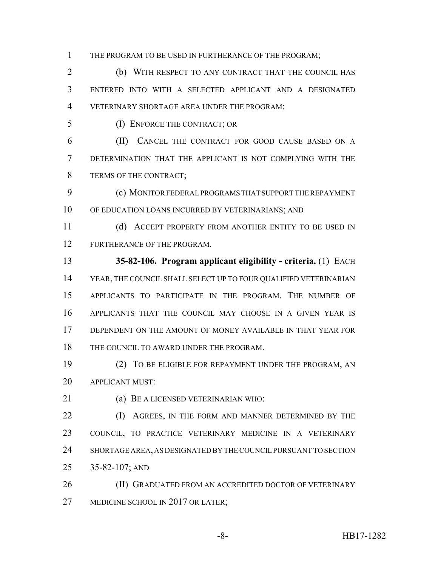THE PROGRAM TO BE USED IN FURTHERANCE OF THE PROGRAM;

 (b) WITH RESPECT TO ANY CONTRACT THAT THE COUNCIL HAS ENTERED INTO WITH A SELECTED APPLICANT AND A DESIGNATED VETERINARY SHORTAGE AREA UNDER THE PROGRAM:

(I) ENFORCE THE CONTRACT; OR

 (II) CANCEL THE CONTRACT FOR GOOD CAUSE BASED ON A DETERMINATION THAT THE APPLICANT IS NOT COMPLYING WITH THE 8 TERMS OF THE CONTRACT;

 (c) MONITOR FEDERAL PROGRAMS THAT SUPPORT THE REPAYMENT OF EDUCATION LOANS INCURRED BY VETERINARIANS; AND

11 (d) ACCEPT PROPERTY FROM ANOTHER ENTITY TO BE USED IN 12 FURTHERANCE OF THE PROGRAM.

 **35-82-106. Program applicant eligibility - criteria.** (1) EACH YEAR, THE COUNCIL SHALL SELECT UP TO FOUR QUALIFIED VETERINARIAN APPLICANTS TO PARTICIPATE IN THE PROGRAM. THE NUMBER OF APPLICANTS THAT THE COUNCIL MAY CHOOSE IN A GIVEN YEAR IS DEPENDENT ON THE AMOUNT OF MONEY AVAILABLE IN THAT YEAR FOR 18 THE COUNCIL TO AWARD UNDER THE PROGRAM.

 (2) TO BE ELIGIBLE FOR REPAYMENT UNDER THE PROGRAM, AN APPLICANT MUST:

(a) BE A LICENSED VETERINARIAN WHO:

**(I)** AGREES, IN THE FORM AND MANNER DETERMINED BY THE COUNCIL, TO PRACTICE VETERINARY MEDICINE IN A VETERINARY SHORTAGE AREA, AS DESIGNATED BY THE COUNCIL PURSUANT TO SECTION 35-82-107; AND

**(II) GRADUATED FROM AN ACCREDITED DOCTOR OF VETERINARY** 27 MEDICINE SCHOOL IN 2017 OR LATER;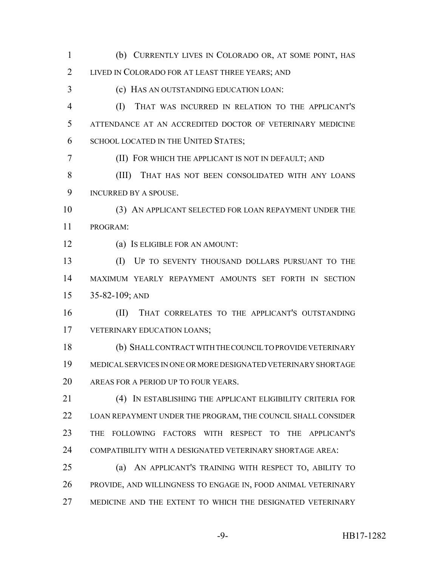(b) CURRENTLY LIVES IN COLORADO OR, AT SOME POINT, HAS LIVED IN COLORADO FOR AT LEAST THREE YEARS; AND (c) HAS AN OUTSTANDING EDUCATION LOAN: (I) THAT WAS INCURRED IN RELATION TO THE APPLICANT'S ATTENDANCE AT AN ACCREDITED DOCTOR OF VETERINARY MEDICINE SCHOOL LOCATED IN THE UNITED STATES; (II) FOR WHICH THE APPLICANT IS NOT IN DEFAULT; AND (III) THAT HAS NOT BEEN CONSOLIDATED WITH ANY LOANS INCURRED BY A SPOUSE. (3) AN APPLICANT SELECTED FOR LOAN REPAYMENT UNDER THE PROGRAM: (a) IS ELIGIBLE FOR AN AMOUNT: (I) UP TO SEVENTY THOUSAND DOLLARS PURSUANT TO THE MAXIMUM YEARLY REPAYMENT AMOUNTS SET FORTH IN SECTION 35-82-109; AND (II) THAT CORRELATES TO THE APPLICANT'S OUTSTANDING VETERINARY EDUCATION LOANS; (b) SHALL CONTRACT WITH THE COUNCIL TO PROVIDE VETERINARY MEDICAL SERVICES IN ONE OR MORE DESIGNATED VETERINARY SHORTAGE AREAS FOR A PERIOD UP TO FOUR YEARS. (4) IN ESTABLISHING THE APPLICANT ELIGIBILITY CRITERIA FOR LOAN REPAYMENT UNDER THE PROGRAM, THE COUNCIL SHALL CONSIDER THE FOLLOWING FACTORS WITH RESPECT TO THE APPLICANT'S COMPATIBILITY WITH A DESIGNATED VETERINARY SHORTAGE AREA: (a) AN APPLICANT'S TRAINING WITH RESPECT TO, ABILITY TO PROVIDE, AND WILLINGNESS TO ENGAGE IN, FOOD ANIMAL VETERINARY MEDICINE AND THE EXTENT TO WHICH THE DESIGNATED VETERINARY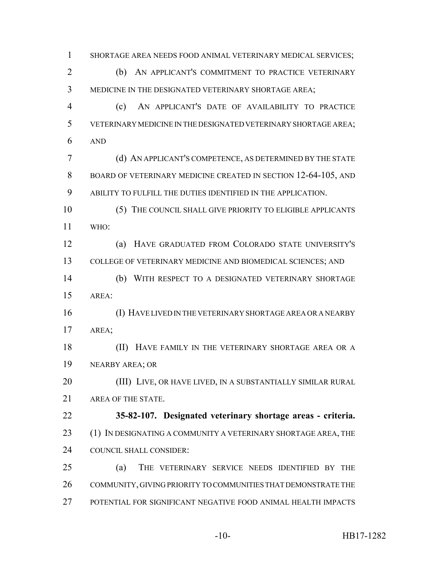SHORTAGE AREA NEEDS FOOD ANIMAL VETERINARY MEDICAL SERVICES; (b) AN APPLICANT'S COMMITMENT TO PRACTICE VETERINARY MEDICINE IN THE DESIGNATED VETERINARY SHORTAGE AREA; (c) AN APPLICANT'S DATE OF AVAILABILITY TO PRACTICE VETERINARY MEDICINE IN THE DESIGNATED VETERINARY SHORTAGE AREA; AND (d) AN APPLICANT'S COMPETENCE, AS DETERMINED BY THE STATE BOARD OF VETERINARY MEDICINE CREATED IN SECTION 12-64-105, AND ABILITY TO FULFILL THE DUTIES IDENTIFIED IN THE APPLICATION. (5) THE COUNCIL SHALL GIVE PRIORITY TO ELIGIBLE APPLICANTS WHO: (a) HAVE GRADUATED FROM COLORADO STATE UNIVERSITY'S COLLEGE OF VETERINARY MEDICINE AND BIOMEDICAL SCIENCES; AND (b) WITH RESPECT TO A DESIGNATED VETERINARY SHORTAGE AREA: (I) HAVE LIVED IN THE VETERINARY SHORTAGE AREA OR A NEARBY AREA; **(II) HAVE FAMILY IN THE VETERINARY SHORTAGE AREA OR A**  NEARBY AREA; OR (III) LIVE, OR HAVE LIVED, IN A SUBSTANTIALLY SIMILAR RURAL AREA OF THE STATE. **35-82-107. Designated veterinary shortage areas - criteria.** 23 (1) IN DESIGNATING A COMMUNITY A VETERINARY SHORTAGE AREA, THE COUNCIL SHALL CONSIDER: (a) THE VETERINARY SERVICE NEEDS IDENTIFIED BY THE COMMUNITY, GIVING PRIORITY TO COMMUNITIES THAT DEMONSTRATE THE POTENTIAL FOR SIGNIFICANT NEGATIVE FOOD ANIMAL HEALTH IMPACTS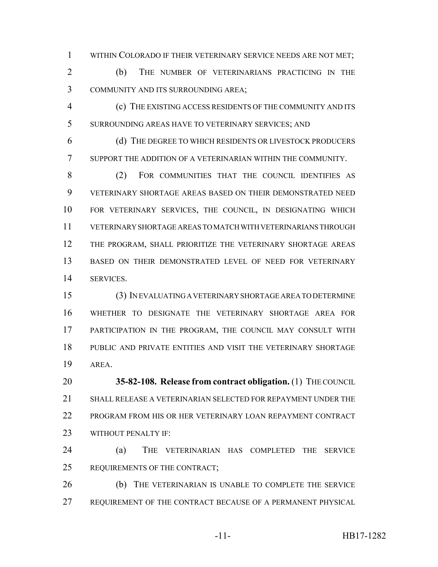1 WITHIN COLORADO IF THEIR VETERINARY SERVICE NEEDS ARE NOT MET;

 (b) THE NUMBER OF VETERINARIANS PRACTICING IN THE COMMUNITY AND ITS SURROUNDING AREA;

 (c) THE EXISTING ACCESS RESIDENTS OF THE COMMUNITY AND ITS SURROUNDING AREAS HAVE TO VETERINARY SERVICES; AND

 (d) THE DEGREE TO WHICH RESIDENTS OR LIVESTOCK PRODUCERS SUPPORT THE ADDITION OF A VETERINARIAN WITHIN THE COMMUNITY.

 (2) FOR COMMUNITIES THAT THE COUNCIL IDENTIFIES AS VETERINARY SHORTAGE AREAS BASED ON THEIR DEMONSTRATED NEED FOR VETERINARY SERVICES, THE COUNCIL, IN DESIGNATING WHICH VETERINARY SHORTAGE AREAS TO MATCH WITH VETERINARIANS THROUGH THE PROGRAM, SHALL PRIORITIZE THE VETERINARY SHORTAGE AREAS BASED ON THEIR DEMONSTRATED LEVEL OF NEED FOR VETERINARY SERVICES.

 (3) IN EVALUATING A VETERINARY SHORTAGE AREA TO DETERMINE WHETHER TO DESIGNATE THE VETERINARY SHORTAGE AREA FOR PARTICIPATION IN THE PROGRAM, THE COUNCIL MAY CONSULT WITH PUBLIC AND PRIVATE ENTITIES AND VISIT THE VETERINARY SHORTAGE AREA.

 **35-82-108. Release from contract obligation.** (1) THE COUNCIL SHALL RELEASE A VETERINARIAN SELECTED FOR REPAYMENT UNDER THE PROGRAM FROM HIS OR HER VETERINARY LOAN REPAYMENT CONTRACT WITHOUT PENALTY IF:

 (a) THE VETERINARIAN HAS COMPLETED THE SERVICE REQUIREMENTS OF THE CONTRACT;

 (b) THE VETERINARIAN IS UNABLE TO COMPLETE THE SERVICE REQUIREMENT OF THE CONTRACT BECAUSE OF A PERMANENT PHYSICAL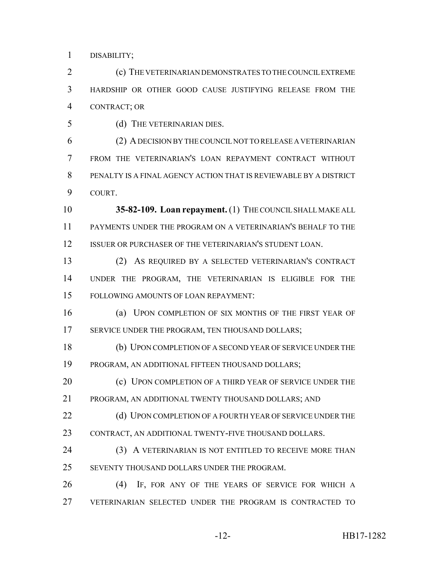DISABILITY;

 (c) THE VETERINARIAN DEMONSTRATES TO THE COUNCIL EXTREME HARDSHIP OR OTHER GOOD CAUSE JUSTIFYING RELEASE FROM THE CONTRACT; OR

(d) THE VETERINARIAN DIES.

 (2) A DECISION BY THE COUNCIL NOT TO RELEASE A VETERINARIAN FROM THE VETERINARIAN'S LOAN REPAYMENT CONTRACT WITHOUT PENALTY IS A FINAL AGENCY ACTION THAT IS REVIEWABLE BY A DISTRICT COURT.

 **35-82-109. Loan repayment.** (1) THE COUNCIL SHALL MAKE ALL PAYMENTS UNDER THE PROGRAM ON A VETERINARIAN'S BEHALF TO THE 12 ISSUER OR PURCHASER OF THE VETERINARIAN'S STUDENT LOAN.

 (2) AS REQUIRED BY A SELECTED VETERINARIAN'S CONTRACT UNDER THE PROGRAM, THE VETERINARIAN IS ELIGIBLE FOR THE FOLLOWING AMOUNTS OF LOAN REPAYMENT:

 (a) UPON COMPLETION OF SIX MONTHS OF THE FIRST YEAR OF 17 SERVICE UNDER THE PROGRAM, TEN THOUSAND DOLLARS;

 (b) UPON COMPLETION OF A SECOND YEAR OF SERVICE UNDER THE PROGRAM, AN ADDITIONAL FIFTEEN THOUSAND DOLLARS;

20 (c) UPON COMPLETION OF A THIRD YEAR OF SERVICE UNDER THE PROGRAM, AN ADDITIONAL TWENTY THOUSAND DOLLARS; AND

22 (d) UPON COMPLETION OF A FOURTH YEAR OF SERVICE UNDER THE CONTRACT, AN ADDITIONAL TWENTY-FIVE THOUSAND DOLLARS.

24 (3) A VETERINARIAN IS NOT ENTITLED TO RECEIVE MORE THAN SEVENTY THOUSAND DOLLARS UNDER THE PROGRAM.

 (4) IF, FOR ANY OF THE YEARS OF SERVICE FOR WHICH A VETERINARIAN SELECTED UNDER THE PROGRAM IS CONTRACTED TO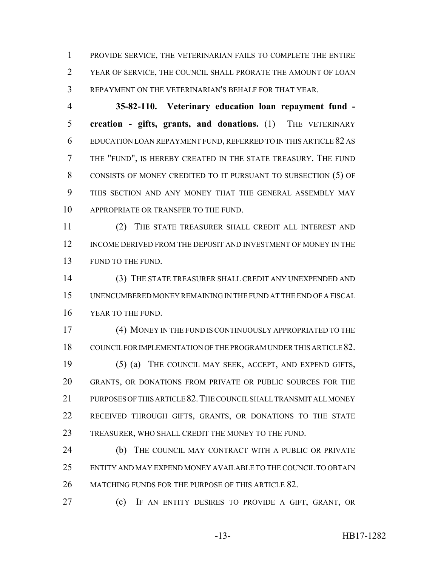PROVIDE SERVICE, THE VETERINARIAN FAILS TO COMPLETE THE ENTIRE YEAR OF SERVICE, THE COUNCIL SHALL PRORATE THE AMOUNT OF LOAN REPAYMENT ON THE VETERINARIAN'S BEHALF FOR THAT YEAR.

 **35-82-110. Veterinary education loan repayment fund - creation - gifts, grants, and donations.** (1) THE VETERINARY EDUCATION LOAN REPAYMENT FUND, REFERRED TO IN THIS ARTICLE 82 AS THE "FUND", IS HEREBY CREATED IN THE STATE TREASURY. THE FUND CONSISTS OF MONEY CREDITED TO IT PURSUANT TO SUBSECTION (5) OF THIS SECTION AND ANY MONEY THAT THE GENERAL ASSEMBLY MAY APPROPRIATE OR TRANSFER TO THE FUND.

 (2) THE STATE TREASURER SHALL CREDIT ALL INTEREST AND INCOME DERIVED FROM THE DEPOSIT AND INVESTMENT OF MONEY IN THE 13 FUND TO THE FUND.

 (3) THE STATE TREASURER SHALL CREDIT ANY UNEXPENDED AND UNENCUMBERED MONEY REMAINING IN THE FUND AT THE END OF A FISCAL YEAR TO THE FUND.

 (4) MONEY IN THE FUND IS CONTINUOUSLY APPROPRIATED TO THE COUNCIL FOR IMPLEMENTATION OF THE PROGRAM UNDER THIS ARTICLE 82. (5) (a) THE COUNCIL MAY SEEK, ACCEPT, AND EXPEND GIFTS, GRANTS, OR DONATIONS FROM PRIVATE OR PUBLIC SOURCES FOR THE 21 PURPOSES OF THIS ARTICLE 82. THE COUNCIL SHALL TRANSMIT ALL MONEY RECEIVED THROUGH GIFTS, GRANTS, OR DONATIONS TO THE STATE TREASURER, WHO SHALL CREDIT THE MONEY TO THE FUND.

**(b)** THE COUNCIL MAY CONTRACT WITH A PUBLIC OR PRIVATE ENTITY AND MAY EXPEND MONEY AVAILABLE TO THE COUNCIL TO OBTAIN 26 MATCHING FUNDS FOR THE PURPOSE OF THIS ARTICLE 82.

(c) IF AN ENTITY DESIRES TO PROVIDE A GIFT, GRANT, OR